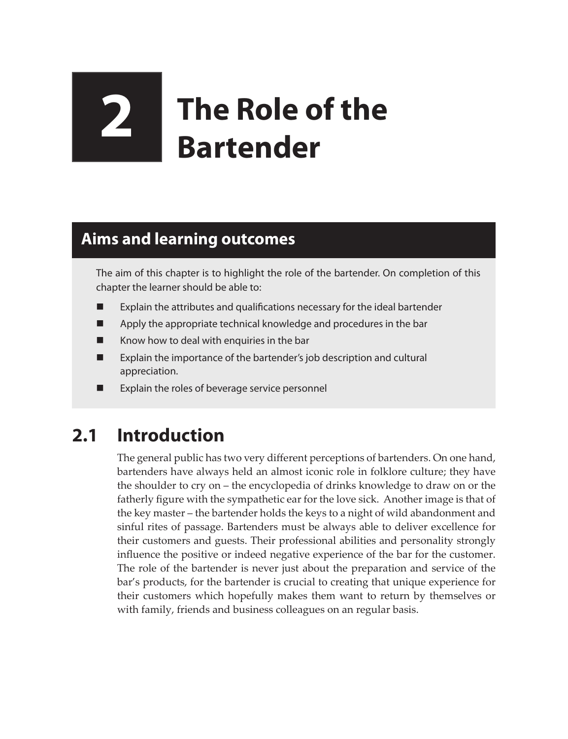# **2 The Role of the Bartender**

## **Aims and learning outcomes**

The aim of this chapter is to highlight the role of the bartender. On completion of this chapter the learner should be able to:

- Explain the attributes and qualifications necessary for the ideal bartender
- **EXECUTE:** Apply the appropriate technical knowledge and procedures in the bar
- $\blacksquare$  Know how to deal with enquiries in the bar
- Explain the importance of the bartender's job description and cultural appreciation.
- **EXPLAIGE EXPLAIGE EXPLAIGE IS CONCRETED** Explain the roles of beverage service personnel

## **2.1 Introduction**

The general public has two very different perceptions of bartenders. On one hand, bartenders have always held an almost iconic role in folklore culture; they have the shoulder to cry on – the encyclopedia of drinks knowledge to draw on or the fatherly figure with the sympathetic ear for the love sick. Another image is that of the key master – the bartender holds the keys to a night of wild abandonment and sinful rites of passage. Bartenders must be always able to deliver excellence for their customers and guests. Their professional abilities and personality strongly influence the positive or indeed negative experience of the bar for the customer. The role of the bartender is never just about the preparation and service of the bar's products, for the bartender is crucial to creating that unique experience for their customers which hopefully makes them want to return by themselves or with family, friends and business colleagues on an regular basis.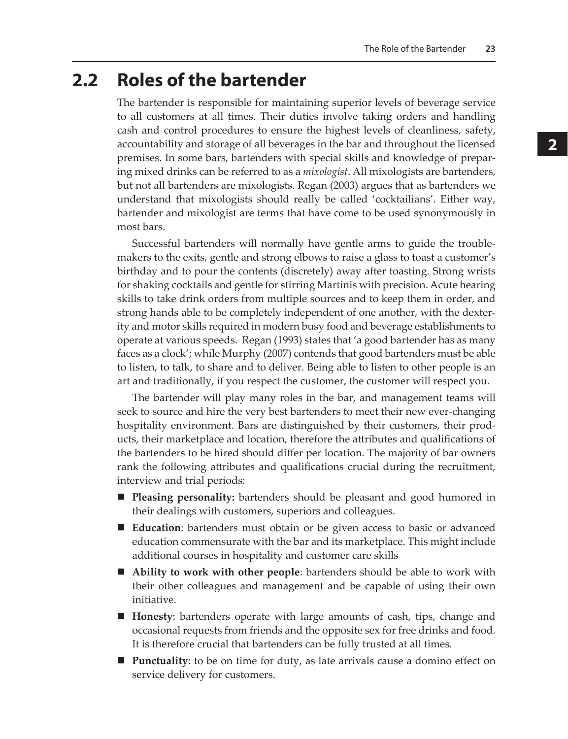### **2.2 Roles of the bartender**

The bartender is responsible for maintaining superior levels of beverage service to all customers at all times. Their duties involve taking orders and handling cash and control procedures to ensure the highest levels of cleanliness, safety, accountability and storage of all beverages in the bar and throughout the licensed premises. In some bars, bartenders with special skills and knowledge of preparing mixed drinks can be referred to as a *mixologist*. All mixologists are bartenders, but not all bartenders are mixologists. Regan (2003) argues that as bartenders we understand that mixologists should really be called 'cocktailians'. Either way, bartender and mixologist are terms that have come to be used synonymously in most bars.

Successful bartenders will normally have gentle arms to guide the troublemakers to the exits, gentle and strong elbows to raise a glass to toast a customer's birthday and to pour the contents (discretely) away after toasting. Strong wrists for shaking cocktails and gentle for stirring Martinis with precision. Acute hearing skills to take drink orders from multiple sources and to keep them in order, and strong hands able to be completely independent of one another, with the dexterity and motor skills required in modern busy food and beverage establishments to operate at various speeds. Regan (1993) states that 'a good bartender has as many faces as a clock'; while Murphy (2007) contends that good bartenders must be able to listen, to talk, to share and to deliver. Being able to listen to other people is an art and traditionally, if you respect the customer, the customer will respect you.

The bartender will play many roles in the bar, and management teams will seek to source and hire the very best bartenders to meet their new ever-changing hospitality environment. Bars are distinguished by their customers, their products, their marketplace and location, therefore the attributes and qualifications of the bartenders to be hired should differ per location. The majority of bar owners rank the following attributes and qualifications crucial during the recruitment, interview and trial periods:

- **Pleasing personality:** bartenders should be pleasant and good humored in their dealings with customers, superiors and colleagues.
- **Education**: bartenders must obtain or be given access to basic or advanced education commensurate with the bar and its marketplace. This might include additional courses in hospitality and customer care skills
- **Ability to work with other people**: bartenders should be able to work with their other colleagues and management and be capable of using their own initiative.
- **Honesty**: bartenders operate with large amounts of cash, tips, change and occasional requests from friends and the opposite sex for free drinks and food. It is therefore crucial that bartenders can be fully trusted at all times.
- **Punctuality**: to be on time for duty, as late arrivals cause a domino effect on service delivery for customers.